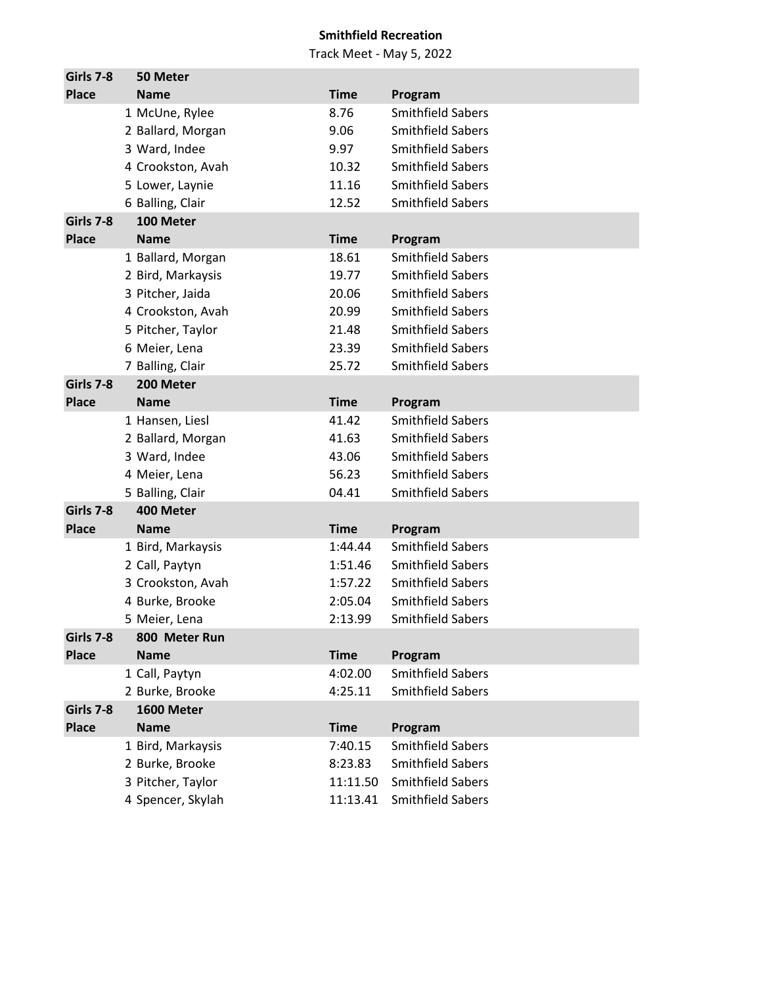| Girls 7-8    | 50 Meter          |             |                          |
|--------------|-------------------|-------------|--------------------------|
| <b>Place</b> | <b>Name</b>       | <b>Time</b> | Program                  |
|              | 1 McUne, Rylee    | 8.76        | <b>Smithfield Sabers</b> |
|              | 2 Ballard, Morgan | 9.06        | <b>Smithfield Sabers</b> |
|              | 3 Ward, Indee     | 9.97        | <b>Smithfield Sabers</b> |
|              | 4 Crookston, Avah | 10.32       | <b>Smithfield Sabers</b> |
|              | 5 Lower, Laynie   | 11.16       | <b>Smithfield Sabers</b> |
|              | 6 Balling, Clair  | 12.52       | <b>Smithfield Sabers</b> |
| Girls 7-8    | 100 Meter         |             |                          |
| <b>Place</b> | <b>Name</b>       | <b>Time</b> | Program                  |
|              | 1 Ballard, Morgan | 18.61       | <b>Smithfield Sabers</b> |
|              | 2 Bird, Markaysis | 19.77       | <b>Smithfield Sabers</b> |
|              | 3 Pitcher, Jaida  | 20.06       | <b>Smithfield Sabers</b> |
|              | 4 Crookston, Avah | 20.99       | <b>Smithfield Sabers</b> |
|              | 5 Pitcher, Taylor | 21.48       | <b>Smithfield Sabers</b> |
|              | 6 Meier, Lena     | 23.39       | <b>Smithfield Sabers</b> |
|              | 7 Balling, Clair  | 25.72       | <b>Smithfield Sabers</b> |
| Girls 7-8    | 200 Meter         |             |                          |
| <b>Place</b> | <b>Name</b>       | <b>Time</b> | Program                  |
|              | 1 Hansen, Liesl   | 41.42       | <b>Smithfield Sabers</b> |
|              | 2 Ballard, Morgan | 41.63       | <b>Smithfield Sabers</b> |
|              | 3 Ward, Indee     | 43.06       | <b>Smithfield Sabers</b> |
|              | 4 Meier, Lena     | 56.23       | <b>Smithfield Sabers</b> |
|              | 5 Balling, Clair  | 04.41       | <b>Smithfield Sabers</b> |
| Girls 7-8    | 400 Meter         |             |                          |
| <b>Place</b> | <b>Name</b>       | <b>Time</b> | Program                  |
|              | 1 Bird, Markaysis | 1:44.44     | <b>Smithfield Sabers</b> |
|              | 2 Call, Paytyn    | 1:51.46     | <b>Smithfield Sabers</b> |
|              | 3 Crookston, Avah | 1:57.22     | <b>Smithfield Sabers</b> |
|              | 4 Burke, Brooke   | 2:05.04     | <b>Smithfield Sabers</b> |
|              | 5 Meier, Lena     | 2:13.99     | <b>Smithfield Sabers</b> |
| Girls 7-8    | 800 Meter Run     |             |                          |
| <b>Place</b> | <b>Name</b>       | <b>Time</b> | Program                  |
|              | 1 Call, Paytyn    | 4:02.00     | <b>Smithfield Sabers</b> |
|              | 2 Burke, Brooke   | 4:25.11     | <b>Smithfield Sabers</b> |
| Girls 7-8    | 1600 Meter        |             |                          |
| <b>Place</b> | <b>Name</b>       | <b>Time</b> | Program                  |
|              | 1 Bird, Markaysis | 7:40.15     | <b>Smithfield Sabers</b> |
|              | 2 Burke, Brooke   | 8:23.83     | <b>Smithfield Sabers</b> |
|              | 3 Pitcher, Taylor | 11:11.50    | <b>Smithfield Sabers</b> |
|              | 4 Spencer, Skylah | 11:13.41    | <b>Smithfield Sabers</b> |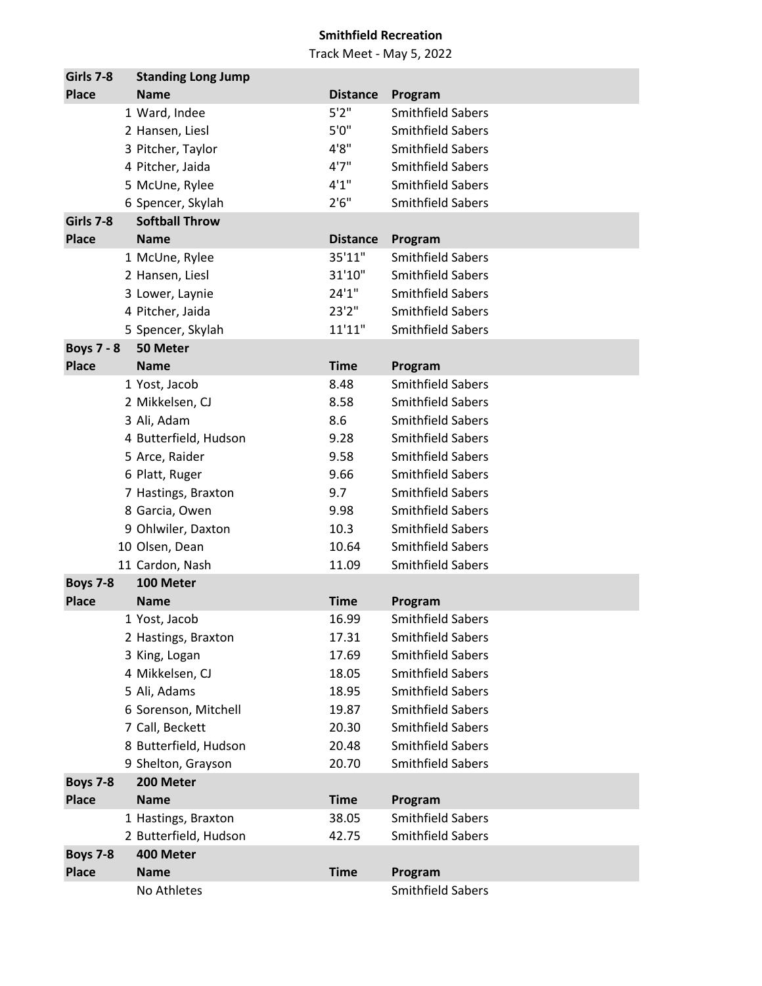| Girls 7-8                       | <b>Standing Long Jump</b>                    |                 |                                               |
|---------------------------------|----------------------------------------------|-----------------|-----------------------------------------------|
| <b>Place</b>                    | <b>Name</b>                                  | <b>Distance</b> | Program                                       |
|                                 | 1 Ward, Indee                                | 5'2''           | <b>Smithfield Sabers</b>                      |
|                                 | 2 Hansen, Liesl                              | 5'0''           | <b>Smithfield Sabers</b>                      |
|                                 | 3 Pitcher, Taylor                            | 4'8"            | <b>Smithfield Sabers</b>                      |
|                                 | 4 Pitcher, Jaida                             | 4'7''           | <b>Smithfield Sabers</b>                      |
|                                 | 5 McUne, Rylee                               | 4'1''           | <b>Smithfield Sabers</b>                      |
|                                 | 6 Spencer, Skylah                            | 2'6''           | <b>Smithfield Sabers</b>                      |
| Girls 7-8                       | <b>Softball Throw</b>                        |                 |                                               |
| <b>Place</b>                    | <b>Name</b>                                  | <b>Distance</b> | Program                                       |
|                                 | 1 McUne, Rylee                               | 35'11"          | <b>Smithfield Sabers</b>                      |
|                                 | 2 Hansen, Liesl                              | 31'10"          | <b>Smithfield Sabers</b>                      |
|                                 | 3 Lower, Laynie                              | 24'1''          | <b>Smithfield Sabers</b>                      |
|                                 | 4 Pitcher, Jaida                             | 23'2"           | <b>Smithfield Sabers</b>                      |
|                                 | 5 Spencer, Skylah                            | 11'11"          | <b>Smithfield Sabers</b>                      |
| <b>Boys 7 - 8</b>               | 50 Meter                                     |                 |                                               |
| <b>Place</b>                    | <b>Name</b>                                  | <b>Time</b>     | Program                                       |
|                                 | 1 Yost, Jacob                                | 8.48            | <b>Smithfield Sabers</b>                      |
|                                 | 2 Mikkelsen, CJ                              | 8.58            | <b>Smithfield Sabers</b>                      |
|                                 | 3 Ali, Adam                                  | 8.6             | <b>Smithfield Sabers</b>                      |
|                                 | 4 Butterfield, Hudson                        | 9.28            | <b>Smithfield Sabers</b>                      |
|                                 | 5 Arce, Raider                               | 9.58            | <b>Smithfield Sabers</b>                      |
|                                 | 6 Platt, Ruger                               | 9.66            | <b>Smithfield Sabers</b>                      |
|                                 | 7 Hastings, Braxton                          | 9.7             | <b>Smithfield Sabers</b>                      |
|                                 | 8 Garcia, Owen                               | 9.98            | <b>Smithfield Sabers</b>                      |
|                                 | 9 Ohlwiler, Daxton                           | 10.3            | <b>Smithfield Sabers</b>                      |
|                                 | 10 Olsen, Dean                               | 10.64           | <b>Smithfield Sabers</b>                      |
|                                 | 11 Cardon, Nash                              | 11.09           | <b>Smithfield Sabers</b>                      |
| <b>Boys 7-8</b>                 | 100 Meter                                    |                 |                                               |
| <b>Place</b>                    | <b>Name</b>                                  | <b>Time</b>     | Program                                       |
|                                 | 1 Yost, Jacob                                | 16.99           | <b>Smithfield Sabers</b>                      |
|                                 | 2 Hastings, Braxton                          | 17.31           | <b>Smithfield Sabers</b>                      |
|                                 | 3 King, Logan                                | 17.69           | <b>Smithfield Sabers</b>                      |
|                                 | 4 Mikkelsen, CJ                              | 18.05           | <b>Smithfield Sabers</b>                      |
|                                 | 5 Ali, Adams                                 | 18.95           | <b>Smithfield Sabers</b>                      |
|                                 | 6 Sorenson, Mitchell                         | 19.87           | <b>Smithfield Sabers</b>                      |
|                                 | 7 Call, Beckett                              | 20.30           | <b>Smithfield Sabers</b>                      |
|                                 | 8 Butterfield, Hudson                        | 20.48           | <b>Smithfield Sabers</b>                      |
|                                 |                                              | 20.70           | <b>Smithfield Sabers</b>                      |
|                                 | 9 Shelton, Grayson<br>200 Meter              |                 |                                               |
| <b>Boys 7-8</b><br><b>Place</b> | <b>Name</b>                                  | <b>Time</b>     |                                               |
|                                 |                                              |                 | Program                                       |
|                                 | 1 Hastings, Braxton<br>2 Butterfield, Hudson | 38.05<br>42.75  | Smithfield Sabers<br><b>Smithfield Sabers</b> |
| <b>Boys 7-8</b>                 | 400 Meter                                    |                 |                                               |
| <b>Place</b>                    | <b>Name</b>                                  | <b>Time</b>     |                                               |
|                                 | No Athletes                                  |                 | Program<br>Smithfield Sabers                  |
|                                 |                                              |                 |                                               |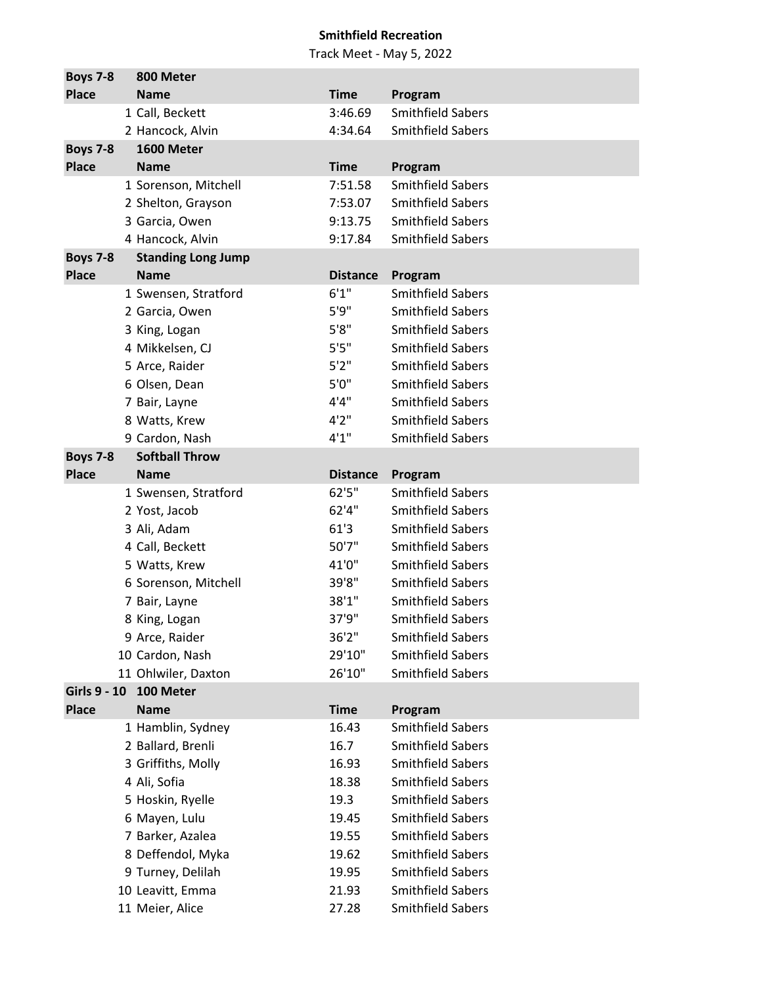| <b>Boys 7-8</b>                     | 800 Meter                              |                 |                                                      |
|-------------------------------------|----------------------------------------|-----------------|------------------------------------------------------|
| <b>Place</b>                        | <b>Name</b>                            | <b>Time</b>     | Program                                              |
|                                     | 1 Call, Beckett                        | 3:46.69         | <b>Smithfield Sabers</b>                             |
|                                     | 2 Hancock, Alvin                       | 4:34.64         | <b>Smithfield Sabers</b>                             |
| <b>Boys 7-8</b>                     | 1600 Meter                             |                 |                                                      |
| <b>Place</b>                        | <b>Name</b>                            | <b>Time</b>     | Program                                              |
|                                     | 1 Sorenson, Mitchell                   | 7:51.58         | <b>Smithfield Sabers</b>                             |
|                                     | 2 Shelton, Grayson                     | 7:53.07         | <b>Smithfield Sabers</b>                             |
|                                     | 3 Garcia, Owen                         | 9:13.75         | <b>Smithfield Sabers</b>                             |
|                                     | 4 Hancock, Alvin                       | 9:17.84         | <b>Smithfield Sabers</b>                             |
| <b>Boys 7-8</b>                     | <b>Standing Long Jump</b>              |                 |                                                      |
| <b>Place</b>                        | <b>Name</b>                            | <b>Distance</b> | Program                                              |
|                                     | 1 Swensen, Stratford                   | 6'1''           | <b>Smithfield Sabers</b>                             |
|                                     | 2 Garcia, Owen                         | 5'9''           | <b>Smithfield Sabers</b>                             |
|                                     | 3 King, Logan                          | 5'8''           | <b>Smithfield Sabers</b>                             |
|                                     | 4 Mikkelsen, CJ                        | 5'5"            | <b>Smithfield Sabers</b>                             |
|                                     | 5 Arce, Raider                         | 5'2''           | <b>Smithfield Sabers</b>                             |
|                                     | 6 Olsen, Dean                          | 5'0''           | <b>Smithfield Sabers</b>                             |
|                                     | 7 Bair, Layne                          | 4'4"            | <b>Smithfield Sabers</b>                             |
|                                     | 8 Watts, Krew                          | 4'2''           | <b>Smithfield Sabers</b>                             |
|                                     | 9 Cardon, Nash                         | 4'1''           | <b>Smithfield Sabers</b>                             |
| <b>Boys 7-8</b>                     | <b>Softball Throw</b>                  |                 |                                                      |
| <b>Place</b>                        | <b>Name</b>                            | <b>Distance</b> | Program                                              |
|                                     | 1 Swensen, Stratford                   | 62'5''          | <b>Smithfield Sabers</b>                             |
|                                     | 2 Yost, Jacob                          | 62'4''          | <b>Smithfield Sabers</b>                             |
|                                     | 3 Ali, Adam                            | 61'3            | <b>Smithfield Sabers</b>                             |
|                                     | 4 Call, Beckett                        | 50'7"           | <b>Smithfield Sabers</b>                             |
|                                     | 5 Watts, Krew                          | 41'0"           | <b>Smithfield Sabers</b>                             |
|                                     | 6 Sorenson, Mitchell                   | 39'8"           | <b>Smithfield Sabers</b>                             |
|                                     | 7 Bair, Layne                          | 38'1"           | <b>Smithfield Sabers</b>                             |
|                                     | 8 King, Logan                          | 37'9"           | <b>Smithfield Sabers</b>                             |
|                                     | 9 Arce, Raider                         | 36'2''          | <b>Smithfield Sabers</b>                             |
|                                     | 10 Cardon, Nash                        | 29'10"          | <b>Smithfield Sabers</b>                             |
|                                     | 11 Ohlwiler, Daxton                    | 26'10"          | <b>Smithfield Sabers</b>                             |
| <b>Girls 9 - 10</b><br><b>Place</b> | 100 Meter                              |                 |                                                      |
|                                     | <b>Name</b>                            | <b>Time</b>     | Program<br><b>Smithfield Sabers</b>                  |
|                                     | 1 Hamblin, Sydney<br>2 Ballard, Brenli | 16.43<br>16.7   | <b>Smithfield Sabers</b>                             |
|                                     | 3 Griffiths, Molly                     | 16.93           | <b>Smithfield Sabers</b>                             |
|                                     | 4 Ali, Sofia                           | 18.38           | <b>Smithfield Sabers</b>                             |
|                                     |                                        |                 | <b>Smithfield Sabers</b>                             |
|                                     | 5 Hoskin, Ryelle                       | 19.3<br>19.45   | <b>Smithfield Sabers</b>                             |
|                                     | 6 Mayen, Lulu                          | 19.55           | <b>Smithfield Sabers</b>                             |
|                                     | 7 Barker, Azalea                       |                 | <b>Smithfield Sabers</b>                             |
|                                     | 8 Deffendol, Myka                      | 19.62           |                                                      |
|                                     | 9 Turney, Delilah                      | 19.95           | <b>Smithfield Sabers</b><br><b>Smithfield Sabers</b> |
|                                     | 10 Leavitt, Emma                       | 21.93           |                                                      |
|                                     | 11 Meier, Alice                        | 27.28           | <b>Smithfield Sabers</b>                             |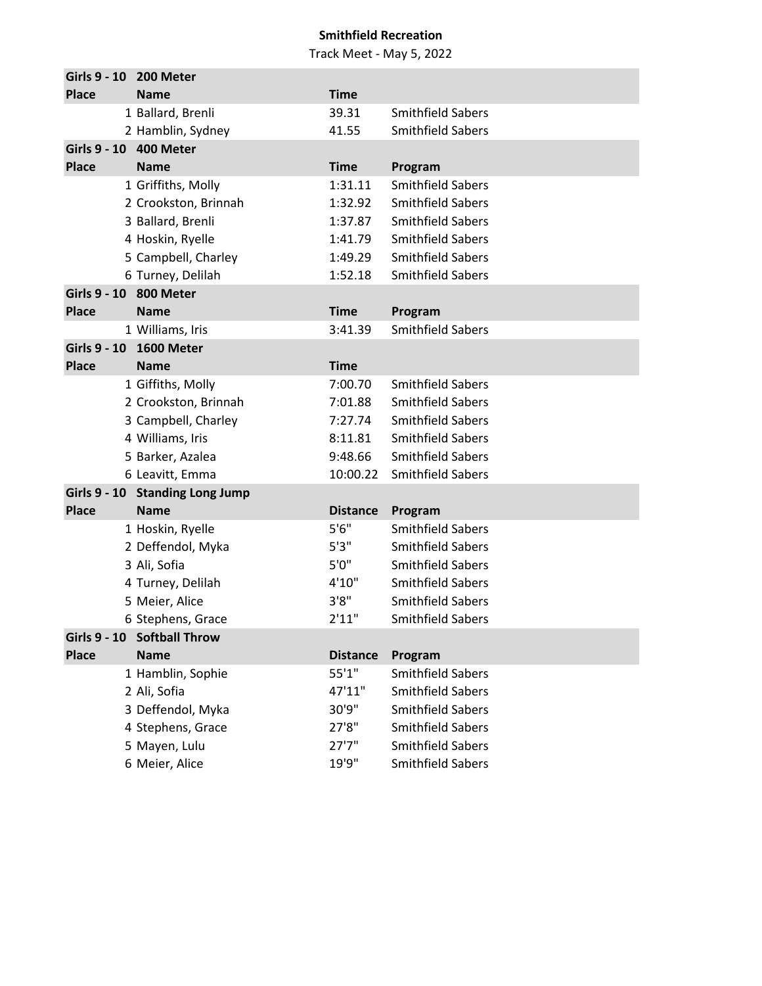| Girls 9 - 10        | 200 Meter                       |                 |                          |
|---------------------|---------------------------------|-----------------|--------------------------|
| <b>Place</b>        | <b>Name</b>                     | <b>Time</b>     |                          |
|                     | 1 Ballard, Brenli               | 39.31           | <b>Smithfield Sabers</b> |
|                     | 2 Hamblin, Sydney               | 41.55           | <b>Smithfield Sabers</b> |
|                     | Girls 9 - 10 400 Meter          |                 |                          |
| <b>Place</b>        | <b>Name</b>                     | <b>Time</b>     | Program                  |
|                     | 1 Griffiths, Molly              | 1:31.11         | <b>Smithfield Sabers</b> |
|                     | 2 Crookston, Brinnah            | 1:32.92         | <b>Smithfield Sabers</b> |
|                     | 3 Ballard, Brenli               | 1:37.87         | <b>Smithfield Sabers</b> |
|                     | 4 Hoskin, Ryelle                | 1:41.79         | <b>Smithfield Sabers</b> |
|                     | 5 Campbell, Charley             | 1:49.29         | <b>Smithfield Sabers</b> |
|                     | 6 Turney, Delilah               | 1:52.18         | <b>Smithfield Sabers</b> |
| <b>Girls 9 - 10</b> | 800 Meter                       |                 |                          |
| <b>Place</b>        | <b>Name</b>                     | <b>Time</b>     | Program                  |
|                     | 1 Williams, Iris                | 3:41.39         | <b>Smithfield Sabers</b> |
|                     | Girls 9 - 10 1600 Meter         |                 |                          |
| <b>Place</b>        | <b>Name</b>                     | <b>Time</b>     |                          |
|                     | 1 Giffiths, Molly               | 7:00.70         | <b>Smithfield Sabers</b> |
|                     | 2 Crookston, Brinnah            | 7:01.88         | <b>Smithfield Sabers</b> |
|                     | 3 Campbell, Charley             | 7:27.74         | <b>Smithfield Sabers</b> |
|                     | 4 Williams, Iris                | 8:11.81         | <b>Smithfield Sabers</b> |
|                     | 5 Barker, Azalea                | 9:48.66         | <b>Smithfield Sabers</b> |
|                     | 6 Leavitt, Emma                 | 10:00.22        | <b>Smithfield Sabers</b> |
|                     | Girls 9 - 10 Standing Long Jump |                 |                          |
| <b>Place</b>        | <b>Name</b>                     | <b>Distance</b> | Program                  |
|                     | 1 Hoskin, Ryelle                | 5'6''           | <b>Smithfield Sabers</b> |
|                     | 2 Deffendol, Myka               | 5'3''           | <b>Smithfield Sabers</b> |
|                     | 3 Ali, Sofia                    | 5'0''           | <b>Smithfield Sabers</b> |
|                     | 4 Turney, Delilah               | 4'10''          | <b>Smithfield Sabers</b> |
|                     | 5 Meier, Alice                  | 3'8"            | <b>Smithfield Sabers</b> |
|                     | 6 Stephens, Grace               | 2'11"           | <b>Smithfield Sabers</b> |
| <b>Girls 9 - 10</b> | <b>Softball Throw</b>           |                 |                          |
| <b>Place</b>        | <b>Name</b>                     | <b>Distance</b> | Program                  |
|                     | 1 Hamblin, Sophie               | 55'1"           | <b>Smithfield Sabers</b> |
|                     | 2 Ali, Sofia                    | 47'11"          | <b>Smithfield Sabers</b> |
|                     | 3 Deffendol, Myka               | 30'9"           | <b>Smithfield Sabers</b> |
|                     | 4 Stephens, Grace               | 27'8"           | <b>Smithfield Sabers</b> |
|                     | 5 Mayen, Lulu                   | 27'7''          | <b>Smithfield Sabers</b> |
|                     | 6 Meier, Alice                  | 19'9"           | <b>Smithfield Sabers</b> |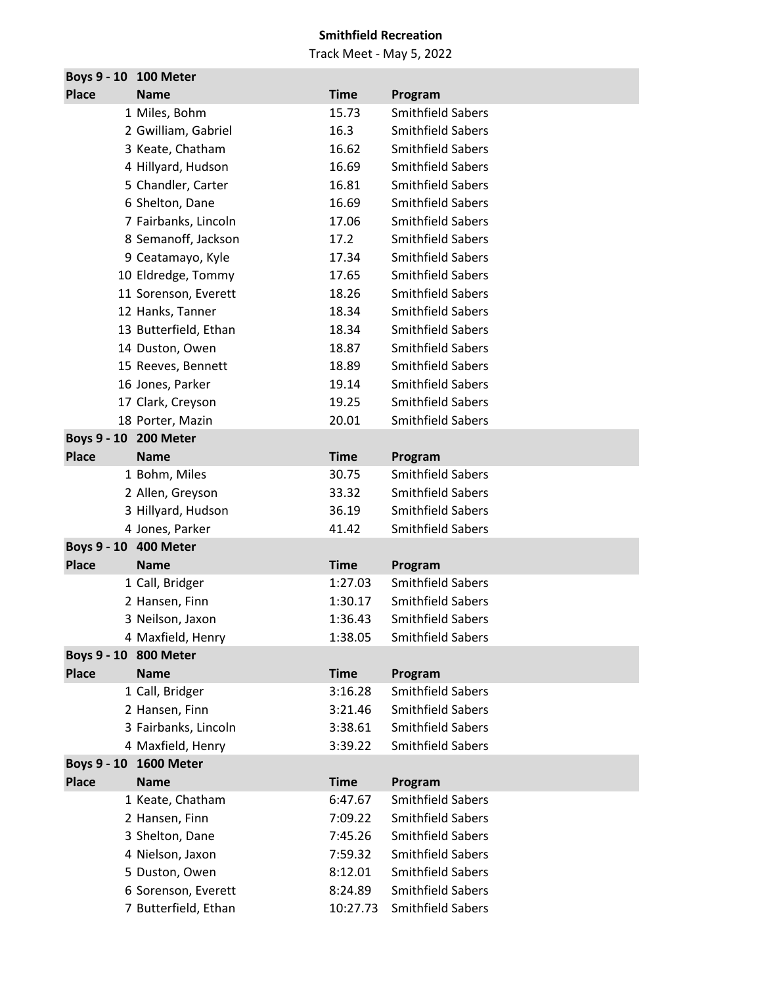| Boys 9 - 10 100 Meter |                        |             |                          |
|-----------------------|------------------------|-------------|--------------------------|
| <b>Place</b>          | <b>Name</b>            | <b>Time</b> | Program                  |
|                       | 1 Miles, Bohm          | 15.73       | <b>Smithfield Sabers</b> |
|                       | 2 Gwilliam, Gabriel    | 16.3        | <b>Smithfield Sabers</b> |
|                       | 3 Keate, Chatham       | 16.62       | <b>Smithfield Sabers</b> |
|                       | 4 Hillyard, Hudson     | 16.69       | <b>Smithfield Sabers</b> |
|                       | 5 Chandler, Carter     | 16.81       | <b>Smithfield Sabers</b> |
|                       | 6 Shelton, Dane        | 16.69       | <b>Smithfield Sabers</b> |
|                       | 7 Fairbanks, Lincoln   | 17.06       | Smithfield Sabers        |
|                       | 8 Semanoff, Jackson    | 17.2        | <b>Smithfield Sabers</b> |
|                       | 9 Ceatamayo, Kyle      | 17.34       | <b>Smithfield Sabers</b> |
|                       | 10 Eldredge, Tommy     | 17.65       | <b>Smithfield Sabers</b> |
|                       | 11 Sorenson, Everett   | 18.26       | <b>Smithfield Sabers</b> |
|                       | 12 Hanks, Tanner       | 18.34       | <b>Smithfield Sabers</b> |
|                       | 13 Butterfield, Ethan  | 18.34       | <b>Smithfield Sabers</b> |
|                       | 14 Duston, Owen        | 18.87       | <b>Smithfield Sabers</b> |
|                       | 15 Reeves, Bennett     | 18.89       | <b>Smithfield Sabers</b> |
|                       | 16 Jones, Parker       | 19.14       | <b>Smithfield Sabers</b> |
|                       | 17 Clark, Creyson      | 19.25       | <b>Smithfield Sabers</b> |
|                       | 18 Porter, Mazin       | 20.01       | <b>Smithfield Sabers</b> |
| Boys 9 - 10 200 Meter |                        |             |                          |
| <b>Place</b>          | <b>Name</b>            | <b>Time</b> | Program                  |
|                       | 1 Bohm, Miles          | 30.75       | <b>Smithfield Sabers</b> |
|                       | 2 Allen, Greyson       | 33.32       | <b>Smithfield Sabers</b> |
|                       | 3 Hillyard, Hudson     | 36.19       | <b>Smithfield Sabers</b> |
|                       | 4 Jones, Parker        | 41.42       | <b>Smithfield Sabers</b> |
| Boys 9 - 10 400 Meter |                        |             |                          |
| <b>Place</b>          | <b>Name</b>            | <b>Time</b> | Program                  |
|                       | 1 Call, Bridger        | 1:27.03     | <b>Smithfield Sabers</b> |
|                       | 2 Hansen, Finn         | 1:30.17     | <b>Smithfield Sabers</b> |
|                       | 3 Neilson, Jaxon       | 1:36.43     | <b>Smithfield Sabers</b> |
|                       | 4 Maxfield, Henry      | 1:38.05     | <b>Smithfield Sabers</b> |
| Boys 9 - 10 800 Meter |                        |             |                          |
| <b>Place</b>          | <b>Name</b>            | <b>Time</b> | Program                  |
|                       | 1 Call, Bridger        | 3:16.28     | Smithfield Sabers        |
|                       | 2 Hansen, Finn         | 3:21.46     | <b>Smithfield Sabers</b> |
|                       | 3 Fairbanks, Lincoln   | 3:38.61     | <b>Smithfield Sabers</b> |
|                       | 4 Maxfield, Henry      | 3:39.22     | <b>Smithfield Sabers</b> |
|                       | Boys 9 - 10 1600 Meter |             |                          |
| <b>Place</b>          | <b>Name</b>            | <b>Time</b> | Program                  |
|                       | 1 Keate, Chatham       | 6:47.67     | <b>Smithfield Sabers</b> |
|                       | 2 Hansen, Finn         | 7:09.22     | <b>Smithfield Sabers</b> |
|                       | 3 Shelton, Dane        | 7:45.26     | <b>Smithfield Sabers</b> |
|                       | 4 Nielson, Jaxon       | 7:59.32     | <b>Smithfield Sabers</b> |
|                       | 5 Duston, Owen         | 8:12.01     | <b>Smithfield Sabers</b> |
|                       | 6 Sorenson, Everett    | 8:24.89     | <b>Smithfield Sabers</b> |
|                       | 7 Butterfield, Ethan   | 10:27.73    | Smithfield Sabers        |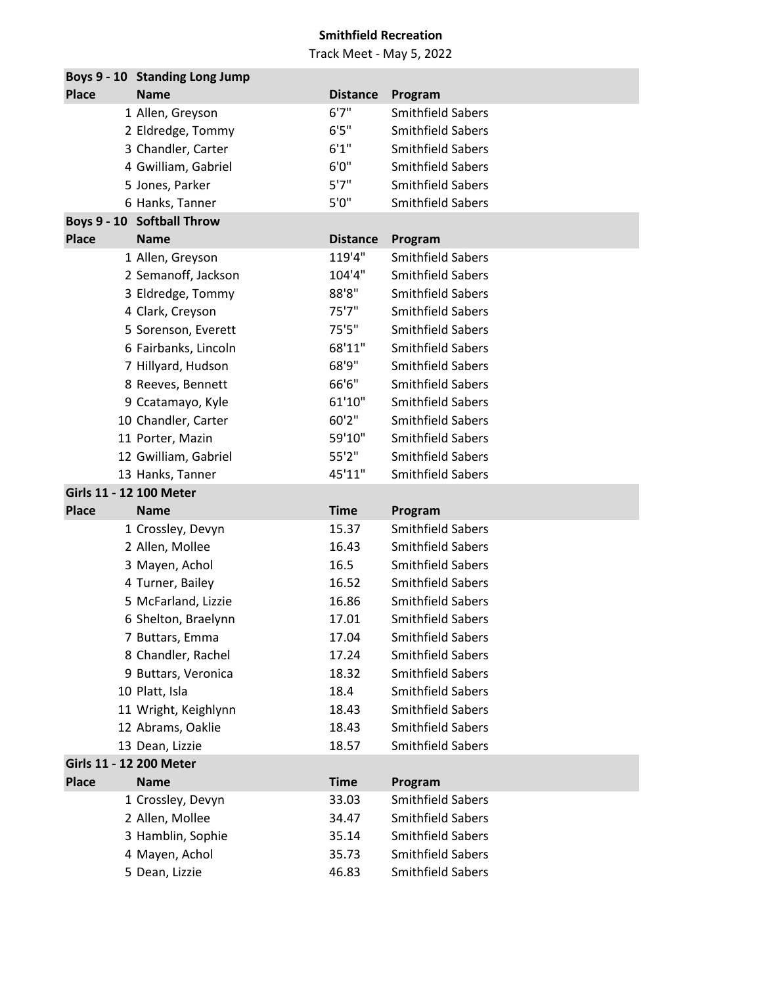|                         | Boys 9 - 10 Standing Long Jump   |                 |                                                      |
|-------------------------|----------------------------------|-----------------|------------------------------------------------------|
| <b>Place</b>            | <b>Name</b>                      | <b>Distance</b> | Program                                              |
|                         | 1 Allen, Greyson                 | 6'7''           | <b>Smithfield Sabers</b>                             |
|                         | 2 Eldredge, Tommy                | 6'5''           | <b>Smithfield Sabers</b>                             |
|                         | 3 Chandler, Carter               | 6'1''           | <b>Smithfield Sabers</b>                             |
|                         | 4 Gwilliam, Gabriel              | 6'0''           | <b>Smithfield Sabers</b>                             |
|                         | 5 Jones, Parker                  | 5'7''           | <b>Smithfield Sabers</b>                             |
|                         | 6 Hanks, Tanner                  | 5'0''           | <b>Smithfield Sabers</b>                             |
|                         | Boys 9 - 10 Softball Throw       |                 |                                                      |
| <b>Place</b>            | <b>Name</b>                      | <b>Distance</b> | Program                                              |
|                         | 1 Allen, Greyson                 | 119'4"          | <b>Smithfield Sabers</b>                             |
|                         | 2 Semanoff, Jackson              | 104'4"          | <b>Smithfield Sabers</b>                             |
|                         | 3 Eldredge, Tommy                | 88'8"           | <b>Smithfield Sabers</b>                             |
|                         | 4 Clark, Creyson                 | 75'7''          | <b>Smithfield Sabers</b>                             |
|                         | 5 Sorenson, Everett              | 75'5''          | <b>Smithfield Sabers</b>                             |
|                         | 6 Fairbanks, Lincoln             | 68'11"          | <b>Smithfield Sabers</b>                             |
|                         | 7 Hillyard, Hudson               | 68'9"           | <b>Smithfield Sabers</b>                             |
|                         | 8 Reeves, Bennett                | 66'6"           | <b>Smithfield Sabers</b>                             |
|                         | 9 Ccatamayo, Kyle                | 61'10"          | <b>Smithfield Sabers</b>                             |
|                         | 10 Chandler, Carter              | 60'2"           | <b>Smithfield Sabers</b>                             |
|                         | 11 Porter, Mazin                 | 59'10"          | <b>Smithfield Sabers</b>                             |
|                         | 12 Gwilliam, Gabriel             | 55'2"           | <b>Smithfield Sabers</b>                             |
|                         | 13 Hanks, Tanner                 | 45'11"          | <b>Smithfield Sabers</b>                             |
| Girls 11 - 12 100 Meter |                                  |                 |                                                      |
| <b>Place</b>            | <b>Name</b>                      | <b>Time</b>     | Program                                              |
|                         | 1 Crossley, Devyn                | 15.37           | <b>Smithfield Sabers</b>                             |
|                         |                                  | 16.43           | <b>Smithfield Sabers</b>                             |
|                         | 2 Allen, Mollee                  |                 |                                                      |
|                         | 3 Mayen, Achol                   | 16.5            | <b>Smithfield Sabers</b>                             |
|                         | 4 Turner, Bailey                 | 16.52           | <b>Smithfield Sabers</b>                             |
|                         | 5 McFarland, Lizzie              | 16.86           | <b>Smithfield Sabers</b>                             |
|                         | 6 Shelton, Braelynn              | 17.01           | <b>Smithfield Sabers</b>                             |
|                         | 7 Buttars, Emma                  | 17.04           | <b>Smithfield Sabers</b>                             |
|                         | 8 Chandler, Rachel               | 17.24           | <b>Smithfield Sabers</b>                             |
|                         | 9 Buttars, Veronica              | 18.32           | <b>Smithfield Sabers</b>                             |
|                         | 10 Platt, Isla                   | 18.4            | <b>Smithfield Sabers</b>                             |
|                         | 11 Wright, Keighlynn             | 18.43           | <b>Smithfield Sabers</b>                             |
|                         | 12 Abrams, Oaklie                | 18.43           | <b>Smithfield Sabers</b>                             |
|                         | 13 Dean, Lizzie                  | 18.57           | <b>Smithfield Sabers</b>                             |
| Girls 11 - 12 200 Meter |                                  |                 |                                                      |
| <b>Place</b>            | <b>Name</b>                      | <b>Time</b>     | Program                                              |
|                         | 1 Crossley, Devyn                | 33.03           | <b>Smithfield Sabers</b>                             |
|                         | 2 Allen, Mollee                  | 34.47           | <b>Smithfield Sabers</b>                             |
|                         | 3 Hamblin, Sophie                | 35.14           | <b>Smithfield Sabers</b>                             |
|                         | 4 Mayen, Achol<br>5 Dean, Lizzie | 35.73<br>46.83  | <b>Smithfield Sabers</b><br><b>Smithfield Sabers</b> |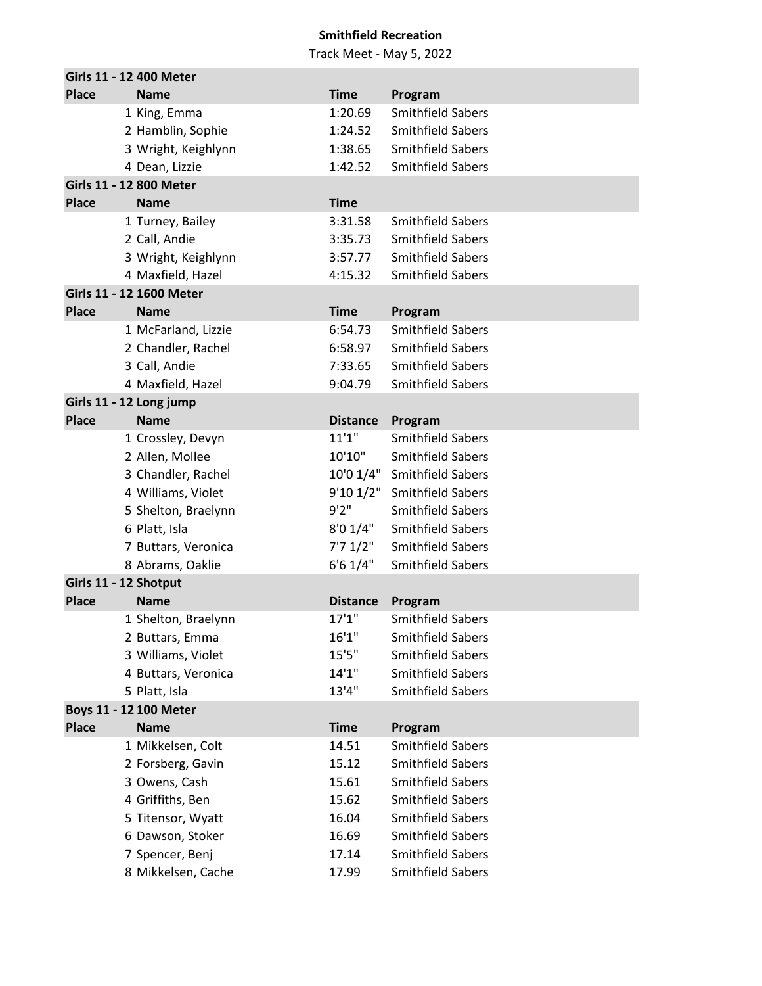|                       | Girls 11 - 12 400 Meter                   |                    |                                     |
|-----------------------|-------------------------------------------|--------------------|-------------------------------------|
| <b>Place</b>          | <b>Name</b>                               | <b>Time</b>        | Program                             |
|                       | 1 King, Emma                              | 1:20.69            | <b>Smithfield Sabers</b>            |
|                       | 2 Hamblin, Sophie                         | 1:24.52            | <b>Smithfield Sabers</b>            |
|                       | 3 Wright, Keighlynn                       | 1:38.65            | <b>Smithfield Sabers</b>            |
|                       | 4 Dean, Lizzie                            | 1:42.52            | <b>Smithfield Sabers</b>            |
|                       | Girls 11 - 12 800 Meter                   |                    |                                     |
| <b>Place</b>          | <b>Name</b>                               | <b>Time</b>        |                                     |
|                       | 1 Turney, Bailey                          | 3:31.58            | <b>Smithfield Sabers</b>            |
|                       | 2 Call, Andie                             | 3:35.73            | <b>Smithfield Sabers</b>            |
|                       | 3 Wright, Keighlynn                       | 3:57.77            | <b>Smithfield Sabers</b>            |
|                       | 4 Maxfield, Hazel                         | 4:15.32            | <b>Smithfield Sabers</b>            |
|                       | Girls 11 - 12 1600 Meter                  |                    |                                     |
| <b>Place</b>          | <b>Name</b>                               | <b>Time</b>        | Program<br><b>Smithfield Sabers</b> |
|                       | 1 McFarland, Lizzie<br>2 Chandler, Rachel | 6:54.73            | <b>Smithfield Sabers</b>            |
|                       | 3 Call, Andie                             | 6:58.97<br>7:33.65 | <b>Smithfield Sabers</b>            |
|                       | 4 Maxfield, Hazel                         | 9:04.79            | <b>Smithfield Sabers</b>            |
|                       | Girls 11 - 12 Long jump                   |                    |                                     |
| <b>Place</b>          | <b>Name</b>                               | <b>Distance</b>    | Program                             |
|                       | 1 Crossley, Devyn                         | 11'1''             | <b>Smithfield Sabers</b>            |
|                       | 2 Allen, Mollee                           | 10'10"             | <b>Smithfield Sabers</b>            |
|                       | 3 Chandler, Rachel                        | 10'0 1/4"          | <b>Smithfield Sabers</b>            |
|                       | 4 Williams, Violet                        |                    | 9'10 1/2" Smithfield Sabers         |
|                       | 5 Shelton, Braelynn                       | 9'2''              | <b>Smithfield Sabers</b>            |
|                       | 6 Platt, Isla                             | 8'0 1/4"           | <b>Smithfield Sabers</b>            |
|                       | 7 Buttars, Veronica                       | 7'7 1/2"           | <b>Smithfield Sabers</b>            |
|                       | 8 Abrams, Oaklie                          | 6'61/4"            | <b>Smithfield Sabers</b>            |
| Girls 11 - 12 Shotput |                                           |                    |                                     |
| <b>Place</b>          | <b>Name</b>                               | <b>Distance</b>    | Program                             |
|                       | 1 Shelton, Braelynn                       | 17'1''             | <b>Smithfield Sabers</b>            |
|                       | 2 Buttars, Emma                           | 16'1''             | <b>Smithfield Sabers</b>            |
|                       | 3 Williams, Violet                        | 15'5''             | <b>Smithfield Sabers</b>            |
|                       | 4 Buttars, Veronica                       | 14'1''             | <b>Smithfield Sabers</b>            |
|                       | 5 Platt, Isla                             | 13'4"              | <b>Smithfield Sabers</b>            |
|                       | Boys 11 - 12 100 Meter                    |                    |                                     |
| <b>Place</b>          | <b>Name</b>                               | <b>Time</b>        | Program                             |
|                       | 1 Mikkelsen, Colt                         | 14.51              | <b>Smithfield Sabers</b>            |
|                       | 2 Forsberg, Gavin                         | 15.12              | <b>Smithfield Sabers</b>            |
|                       | 3 Owens, Cash                             | 15.61              | <b>Smithfield Sabers</b>            |
|                       | 4 Griffiths, Ben                          | 15.62              | <b>Smithfield Sabers</b>            |
|                       | 5 Titensor, Wyatt                         | 16.04              | <b>Smithfield Sabers</b>            |
|                       | 6 Dawson, Stoker                          | 16.69              | <b>Smithfield Sabers</b>            |
|                       | 7 Spencer, Benj                           | 17.14              | <b>Smithfield Sabers</b>            |
|                       | 8 Mikkelsen, Cache                        | 17.99              | Smithfield Sabers                   |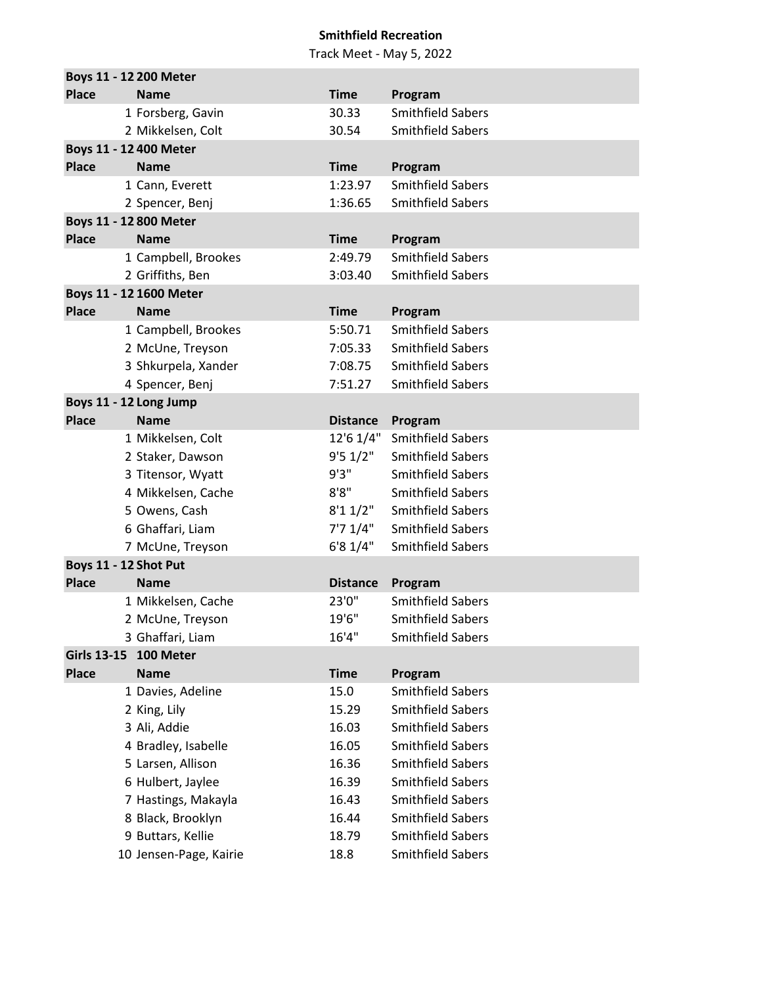|                    | Boys 11 - 12 200 Meter  |                 |                          |
|--------------------|-------------------------|-----------------|--------------------------|
| <b>Place</b>       | <b>Name</b>             | <b>Time</b>     | Program                  |
|                    | 1 Forsberg, Gavin       | 30.33           | <b>Smithfield Sabers</b> |
|                    | 2 Mikkelsen, Colt       | 30.54           | <b>Smithfield Sabers</b> |
|                    | Boys 11 - 12 400 Meter  |                 |                          |
| <b>Place</b>       | <b>Name</b>             | <b>Time</b>     | Program                  |
|                    | 1 Cann, Everett         | 1:23.97         | <b>Smithfield Sabers</b> |
|                    | 2 Spencer, Benj         | 1:36.65         | <b>Smithfield Sabers</b> |
|                    | Boys 11 - 12 800 Meter  |                 |                          |
| <b>Place</b>       | <b>Name</b>             | <b>Time</b>     | Program                  |
|                    | 1 Campbell, Brookes     | 2:49.79         | <b>Smithfield Sabers</b> |
|                    | 2 Griffiths, Ben        | 3:03.40         | <b>Smithfield Sabers</b> |
|                    | Boys 11 - 12 1600 Meter |                 |                          |
| <b>Place</b>       | <b>Name</b>             | <b>Time</b>     | Program                  |
|                    | 1 Campbell, Brookes     | 5:50.71         | <b>Smithfield Sabers</b> |
|                    | 2 McUne, Treyson        | 7:05.33         | <b>Smithfield Sabers</b> |
|                    | 3 Shkurpela, Xander     | 7:08.75         | <b>Smithfield Sabers</b> |
|                    | 4 Spencer, Benj         | 7:51.27         | <b>Smithfield Sabers</b> |
|                    | Boys 11 - 12 Long Jump  |                 |                          |
| <b>Place</b>       | <b>Name</b>             | <b>Distance</b> | Program                  |
|                    | 1 Mikkelsen, Colt       | 12'6 1/4"       | <b>Smithfield Sabers</b> |
|                    | 2 Staker, Dawson        | 9'51/2"         | <b>Smithfield Sabers</b> |
|                    | 3 Titensor, Wyatt       | 9'3"            | <b>Smithfield Sabers</b> |
|                    | 4 Mikkelsen, Cache      | 8'8''           | <b>Smithfield Sabers</b> |
|                    | 5 Owens, Cash           | 8'11/2"         | <b>Smithfield Sabers</b> |
|                    | 6 Ghaffari, Liam        | 7'7 1/4"        | <b>Smithfield Sabers</b> |
|                    | 7 McUne, Treyson        | 6'8 1/4"        | <b>Smithfield Sabers</b> |
|                    | Boys 11 - 12 Shot Put   |                 |                          |
| <b>Place</b>       | <b>Name</b>             | <b>Distance</b> | Program                  |
|                    | 1 Mikkelsen, Cache      | 23'0"           | <b>Smithfield Sabers</b> |
|                    | 2 McUne, Treyson        | 19'6"           | <b>Smithfield Sabers</b> |
|                    | 3 Ghaffari, Liam        | 16'4''          | <b>Smithfield Sabers</b> |
| <b>Girls 13-15</b> | 100 Meter               |                 |                          |
| <b>Place</b>       | <b>Name</b>             | <b>Time</b>     | Program                  |
|                    | 1 Davies, Adeline       | 15.0            | Smithfield Sabers        |
|                    | 2 King, Lily            | 15.29           | <b>Smithfield Sabers</b> |
|                    | 3 Ali, Addie            | 16.03           | <b>Smithfield Sabers</b> |
|                    | 4 Bradley, Isabelle     | 16.05           | <b>Smithfield Sabers</b> |
|                    | 5 Larsen, Allison       | 16.36           | <b>Smithfield Sabers</b> |
|                    | 6 Hulbert, Jaylee       | 16.39           | <b>Smithfield Sabers</b> |
|                    | 7 Hastings, Makayla     | 16.43           | <b>Smithfield Sabers</b> |
|                    | 8 Black, Brooklyn       | 16.44           | <b>Smithfield Sabers</b> |
|                    | 9 Buttars, Kellie       | 18.79           | <b>Smithfield Sabers</b> |
|                    | 10 Jensen-Page, Kairie  | 18.8            | <b>Smithfield Sabers</b> |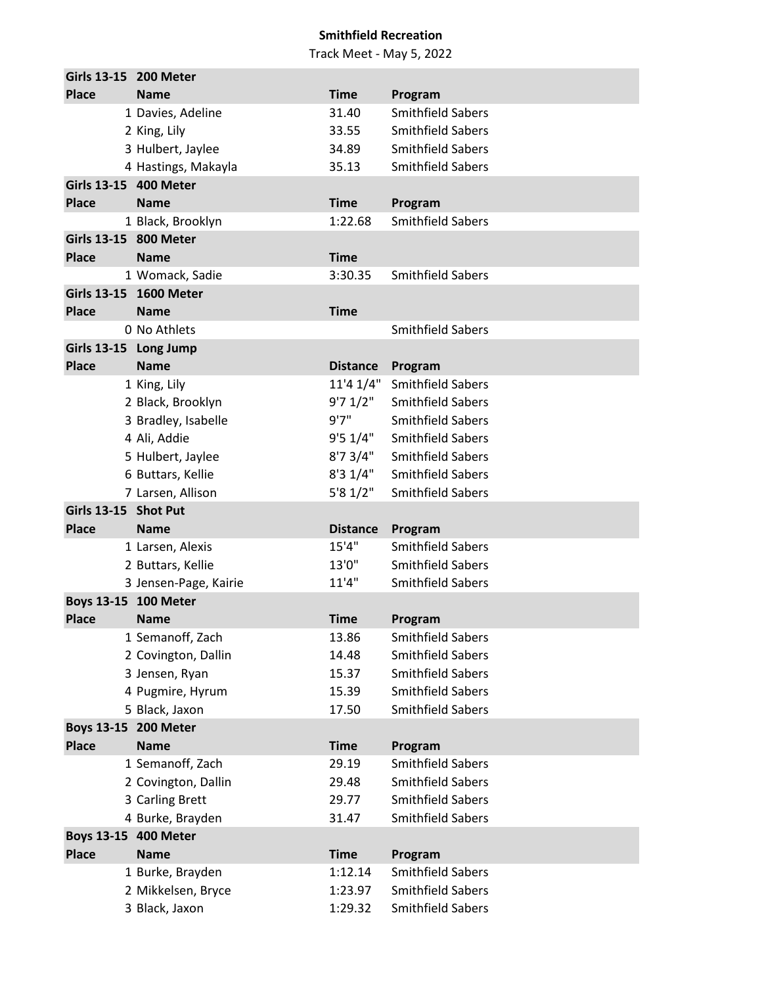|                      | Girls 13-15 200 Meter                    |                 |                          |
|----------------------|------------------------------------------|-----------------|--------------------------|
| <b>Place</b>         | <b>Name</b>                              | <b>Time</b>     | Program                  |
|                      | 1 Davies, Adeline                        | 31.40           | <b>Smithfield Sabers</b> |
|                      | 2 King, Lily                             | 33.55           | <b>Smithfield Sabers</b> |
|                      | 3 Hulbert, Jaylee                        | 34.89           | <b>Smithfield Sabers</b> |
|                      | 4 Hastings, Makayla                      | 35.13           | <b>Smithfield Sabers</b> |
|                      | Girls 13-15 400 Meter                    |                 |                          |
| <b>Place</b>         | <b>Name</b>                              | <b>Time</b>     | Program                  |
|                      | 1 Black, Brooklyn                        | 1:22.68         | <b>Smithfield Sabers</b> |
|                      | Girls 13-15 800 Meter                    |                 |                          |
| <b>Place</b>         | <b>Name</b>                              | <b>Time</b>     |                          |
|                      | 1 Womack, Sadie                          | 3:30.35         | <b>Smithfield Sabers</b> |
|                      | Girls 13-15 1600 Meter                   |                 |                          |
| <b>Place</b>         | <b>Name</b>                              | <b>Time</b>     |                          |
|                      | 0 No Athlets                             |                 | <b>Smithfield Sabers</b> |
|                      | Girls 13-15 Long Jump                    |                 |                          |
| <b>Place</b>         | <b>Name</b>                              | <b>Distance</b> | Program                  |
|                      | 1 King, Lily                             | 11'4 1/4"       | <b>Smithfield Sabers</b> |
|                      | 2 Black, Brooklyn                        | 9'71/2"         | <b>Smithfield Sabers</b> |
|                      | 3 Bradley, Isabelle                      | 9'7''           | <b>Smithfield Sabers</b> |
|                      | 4 Ali, Addie                             | 9'51/4"         | <b>Smithfield Sabers</b> |
|                      | 5 Hulbert, Jaylee                        | 8'73/4"         | <b>Smithfield Sabers</b> |
|                      | 6 Buttars, Kellie                        | 8'31/4"         | <b>Smithfield Sabers</b> |
|                      | 7 Larsen, Allison                        | 5'81/2"         | <b>Smithfield Sabers</b> |
| Girls 13-15 Shot Put |                                          |                 |                          |
| <b>Place</b>         | <b>Name</b>                              | <b>Distance</b> | Program                  |
|                      | 1 Larsen, Alexis                         | 15'4''          | <b>Smithfield Sabers</b> |
|                      | 2 Buttars, Kellie                        | 13'0"           | <b>Smithfield Sabers</b> |
|                      | 3 Jensen-Page, Kairie                    | 11'4"           | <b>Smithfield Sabers</b> |
|                      | Boys 13-15 100 Meter                     |                 |                          |
| <b>Place</b>         | <b>Name</b>                              | <b>Time</b>     | Program                  |
|                      | 1 Semanoff, Zach                         | 13.86           | <b>Smithfield Sabers</b> |
|                      | 2 Covington, Dallin                      | 14.48           | <b>Smithfield Sabers</b> |
|                      | 3 Jensen, Ryan                           | 15.37           | <b>Smithfield Sabers</b> |
|                      | 4 Pugmire, Hyrum                         | 15.39           | <b>Smithfield Sabers</b> |
|                      | 5 Black, Jaxon                           | 17.50           | Smithfield Sabers        |
|                      | Boys 13-15 200 Meter                     |                 |                          |
| <b>Place</b>         | <b>Name</b>                              | <b>Time</b>     | Program                  |
|                      | 1 Semanoff, Zach                         | 29.19           | Smithfield Sabers        |
|                      | 2 Covington, Dallin                      | 29.48           | <b>Smithfield Sabers</b> |
|                      | 3 Carling Brett                          | 29.77           | <b>Smithfield Sabers</b> |
|                      | 4 Burke, Brayden<br>Boys 13-15 400 Meter | 31.47           | <b>Smithfield Sabers</b> |
| <b>Place</b>         | <b>Name</b>                              | <b>Time</b>     | Program                  |
|                      | 1 Burke, Brayden                         | 1:12.14         | <b>Smithfield Sabers</b> |
|                      | 2 Mikkelsen, Bryce                       | 1:23.97         | <b>Smithfield Sabers</b> |
|                      | 3 Black, Jaxon                           | 1:29.32         | Smithfield Sabers        |
|                      |                                          |                 |                          |